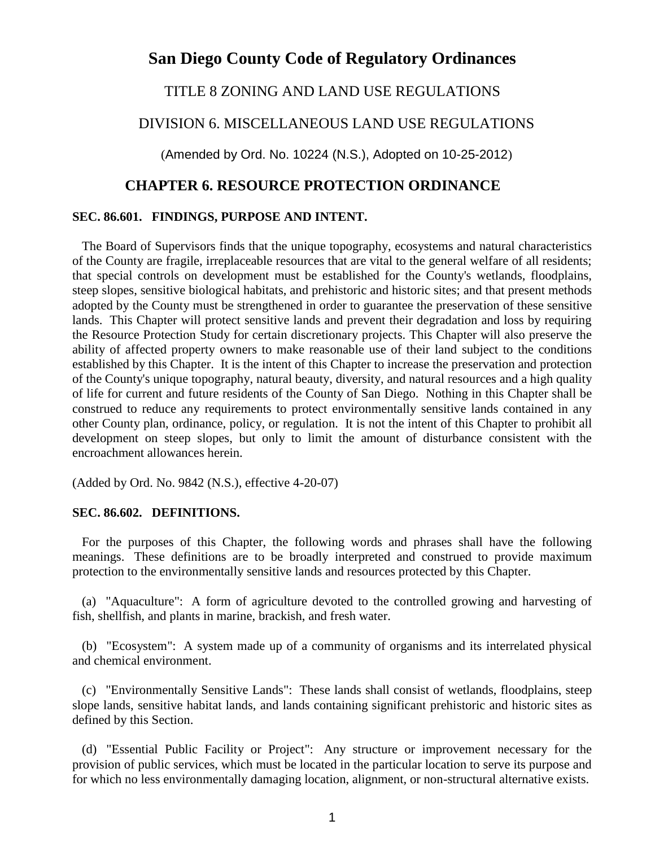# **San Diego County Code of Regulatory Ordinances**

# TITLE 8 ZONING AND LAND USE REGULATIONS

# DIVISION 6. MISCELLANEOUS LAND USE REGULATIONS

(Amended by Ord. No. 10224 (N.S.), Adopted on 10-25-2012)

# **CHAPTER 6. RESOURCE PROTECTION ORDINANCE**

### **SEC. 86.601. FINDINGS, PURPOSE AND INTENT.**

 The Board of Supervisors finds that the unique topography, ecosystems and natural characteristics of the County are fragile, irreplaceable resources that are vital to the general welfare of all residents; that special controls on development must be established for the County's wetlands, floodplains, steep slopes, sensitive biological habitats, and prehistoric and historic sites; and that present methods adopted by the County must be strengthened in order to guarantee the preservation of these sensitive lands. This Chapter will protect sensitive lands and prevent their degradation and loss by requiring the Resource Protection Study for certain discretionary projects. This Chapter will also preserve the ability of affected property owners to make reasonable use of their land subject to the conditions established by this Chapter. It is the intent of this Chapter to increase the preservation and protection of the County's unique topography, natural beauty, diversity, and natural resources and a high quality of life for current and future residents of the County of San Diego. Nothing in this Chapter shall be construed to reduce any requirements to protect environmentally sensitive lands contained in any other County plan, ordinance, policy, or regulation. It is not the intent of this Chapter to prohibit all development on steep slopes, but only to limit the amount of disturbance consistent with the encroachment allowances herein.

(Added by Ord. No. 9842 (N.S.), effective 4-20-07)

### **SEC. 86.602. DEFINITIONS.**

 For the purposes of this Chapter, the following words and phrases shall have the following meanings. These definitions are to be broadly interpreted and construed to provide maximum protection to the environmentally sensitive lands and resources protected by this Chapter.

 (a) "Aquaculture": A form of agriculture devoted to the controlled growing and harvesting of fish, shellfish, and plants in marine, brackish, and fresh water.

 (b) "Ecosystem": A system made up of a community of organisms and its interrelated physical and chemical environment.

 (c) "Environmentally Sensitive Lands": These lands shall consist of wetlands, floodplains, steep slope lands, sensitive habitat lands, and lands containing significant prehistoric and historic sites as defined by this Section.

 (d) "Essential Public Facility or Project": Any structure or improvement necessary for the provision of public services, which must be located in the particular location to serve its purpose and for which no less environmentally damaging location, alignment, or non-structural alternative exists.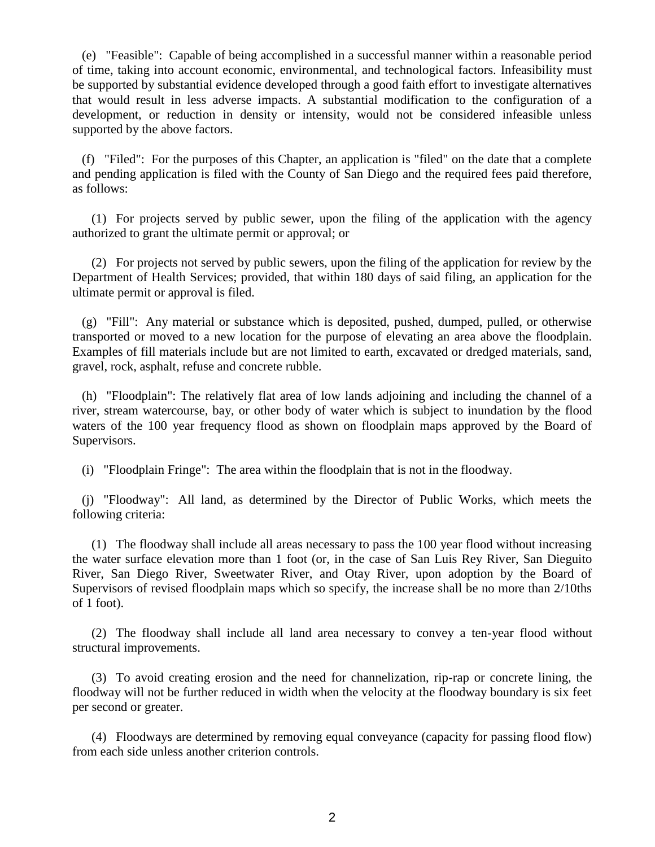(e) "Feasible": Capable of being accomplished in a successful manner within a reasonable period of time, taking into account economic, environmental, and technological factors. Infeasibility must be supported by substantial evidence developed through a good faith effort to investigate alternatives that would result in less adverse impacts. A substantial modification to the configuration of a development, or reduction in density or intensity, would not be considered infeasible unless supported by the above factors.

 (f) "Filed": For the purposes of this Chapter, an application is "filed" on the date that a complete and pending application is filed with the County of San Diego and the required fees paid therefore, as follows:

 (1) For projects served by public sewer, upon the filing of the application with the agency authorized to grant the ultimate permit or approval; or

 (2) For projects not served by public sewers, upon the filing of the application for review by the Department of Health Services; provided, that within 180 days of said filing, an application for the ultimate permit or approval is filed.

 (g) "Fill": Any material or substance which is deposited, pushed, dumped, pulled, or otherwise transported or moved to a new location for the purpose of elevating an area above the floodplain. Examples of fill materials include but are not limited to earth, excavated or dredged materials, sand, gravel, rock, asphalt, refuse and concrete rubble.

 (h) "Floodplain": The relatively flat area of low lands adjoining and including the channel of a river, stream watercourse, bay, or other body of water which is subject to inundation by the flood waters of the 100 year frequency flood as shown on floodplain maps approved by the Board of Supervisors.

(i) "Floodplain Fringe": The area within the floodplain that is not in the floodway.

 (j) "Floodway": All land, as determined by the Director of Public Works, which meets the following criteria:

 (1) The floodway shall include all areas necessary to pass the 100 year flood without increasing the water surface elevation more than 1 foot (or, in the case of San Luis Rey River, San Dieguito River, San Diego River, Sweetwater River, and Otay River, upon adoption by the Board of Supervisors of revised floodplain maps which so specify, the increase shall be no more than 2/10ths of 1 foot).

 (2) The floodway shall include all land area necessary to convey a ten-year flood without structural improvements.

 (3) To avoid creating erosion and the need for channelization, rip-rap or concrete lining, the floodway will not be further reduced in width when the velocity at the floodway boundary is six feet per second or greater.

 (4) Floodways are determined by removing equal conveyance (capacity for passing flood flow) from each side unless another criterion controls.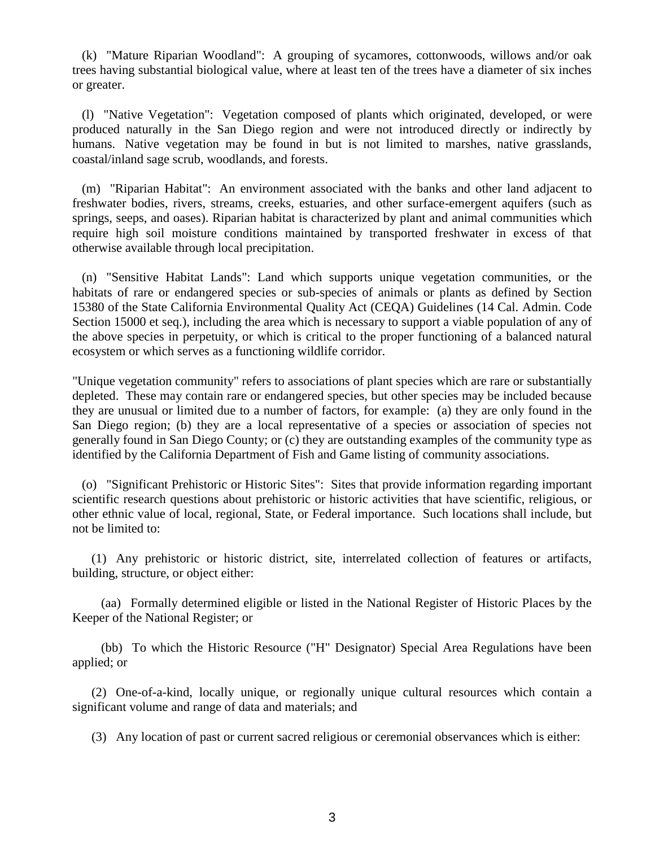(k) "Mature Riparian Woodland": A grouping of sycamores, cottonwoods, willows and/or oak trees having substantial biological value, where at least ten of the trees have a diameter of six inches or greater.

 (l) "Native Vegetation": Vegetation composed of plants which originated, developed, or were produced naturally in the San Diego region and were not introduced directly or indirectly by humans. Native vegetation may be found in but is not limited to marshes, native grasslands, coastal/inland sage scrub, woodlands, and forests.

 (m) "Riparian Habitat": An environment associated with the banks and other land adjacent to freshwater bodies, rivers, streams, creeks, estuaries, and other surface-emergent aquifers (such as springs, seeps, and oases). Riparian habitat is characterized by plant and animal communities which require high soil moisture conditions maintained by transported freshwater in excess of that otherwise available through local precipitation.

 (n) "Sensitive Habitat Lands": Land which supports unique vegetation communities, or the habitats of rare or endangered species or sub-species of animals or plants as defined by Section 15380 of the State California Environmental Quality Act (CEQA) Guidelines (14 Cal. Admin. Code Section 15000 et seq.), including the area which is necessary to support a viable population of any of the above species in perpetuity, or which is critical to the proper functioning of a balanced natural ecosystem or which serves as a functioning wildlife corridor.

"Unique vegetation community" refers to associations of plant species which are rare or substantially depleted. These may contain rare or endangered species, but other species may be included because they are unusual or limited due to a number of factors, for example: (a) they are only found in the San Diego region; (b) they are a local representative of a species or association of species not generally found in San Diego County; or (c) they are outstanding examples of the community type as identified by the California Department of Fish and Game listing of community associations.

 (o) "Significant Prehistoric or Historic Sites": Sites that provide information regarding important scientific research questions about prehistoric or historic activities that have scientific, religious, or other ethnic value of local, regional, State, or Federal importance. Such locations shall include, but not be limited to:

 (1) Any prehistoric or historic district, site, interrelated collection of features or artifacts, building, structure, or object either:

 (aa) Formally determined eligible or listed in the National Register of Historic Places by the Keeper of the National Register; or

 (bb) To which the Historic Resource ("H" Designator) Special Area Regulations have been applied; or

 (2) One-of-a-kind, locally unique, or regionally unique cultural resources which contain a significant volume and range of data and materials; and

(3) Any location of past or current sacred religious or ceremonial observances which is either: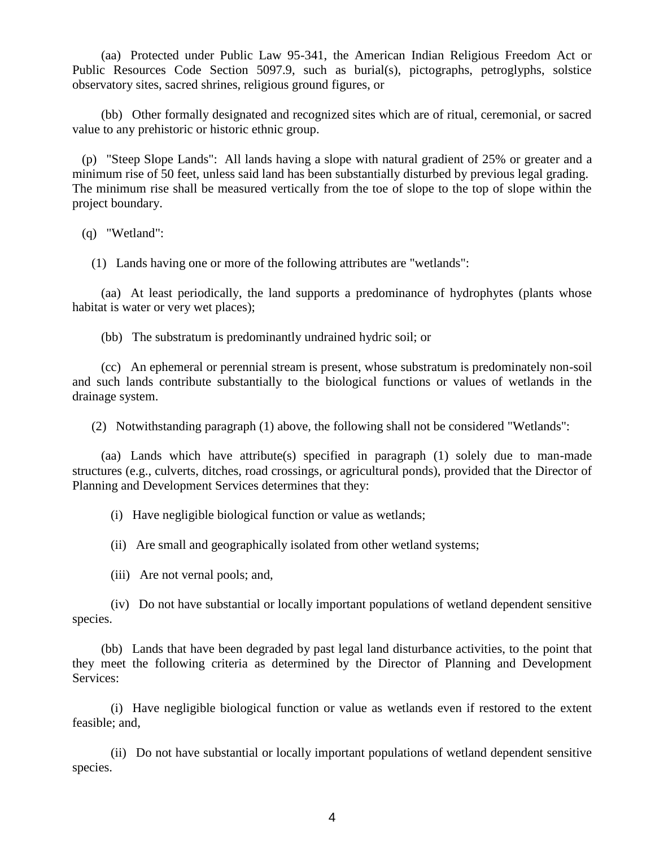(aa) Protected under Public Law 95-341, the American Indian Religious Freedom Act or Public Resources Code Section 5097.9, such as burial(s), pictographs, petroglyphs, solstice observatory sites, sacred shrines, religious ground figures, or

 (bb) Other formally designated and recognized sites which are of ritual, ceremonial, or sacred value to any prehistoric or historic ethnic group.

 (p) "Steep Slope Lands": All lands having a slope with natural gradient of 25% or greater and a minimum rise of 50 feet, unless said land has been substantially disturbed by previous legal grading. The minimum rise shall be measured vertically from the toe of slope to the top of slope within the project boundary.

(q) "Wetland":

(1) Lands having one or more of the following attributes are "wetlands":

 (aa) At least periodically, the land supports a predominance of hydrophytes (plants whose habitat is water or very wet places);

(bb) The substratum is predominantly undrained hydric soil; or

 (cc) An ephemeral or perennial stream is present, whose substratum is predominately non-soil and such lands contribute substantially to the biological functions or values of wetlands in the drainage system.

(2) Notwithstanding paragraph (1) above, the following shall not be considered "Wetlands":

 (aa) Lands which have attribute(s) specified in paragraph (1) solely due to man-made structures (e.g., culverts, ditches, road crossings, or agricultural ponds), provided that the Director of Planning and Development Services determines that they:

(i) Have negligible biological function or value as wetlands;

(ii) Are small and geographically isolated from other wetland systems;

(iii) Are not vernal pools; and,

 (iv) Do not have substantial or locally important populations of wetland dependent sensitive species.

 (bb) Lands that have been degraded by past legal land disturbance activities, to the point that they meet the following criteria as determined by the Director of Planning and Development Services:

 (i) Have negligible biological function or value as wetlands even if restored to the extent feasible; and,

 (ii) Do not have substantial or locally important populations of wetland dependent sensitive species.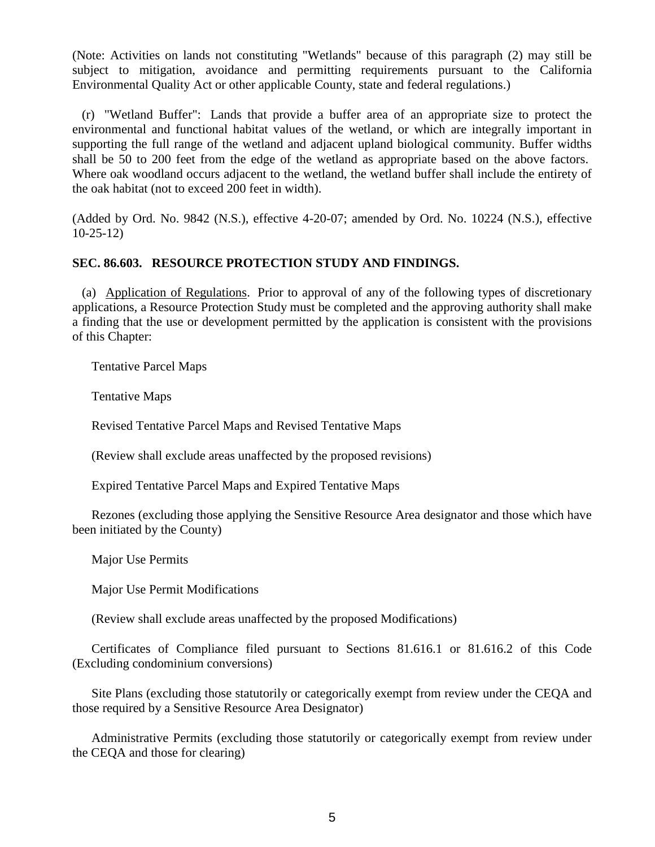(Note: Activities on lands not constituting "Wetlands" because of this paragraph (2) may still be subject to mitigation, avoidance and permitting requirements pursuant to the California Environmental Quality Act or other applicable County, state and federal regulations.)

 (r) "Wetland Buffer": Lands that provide a buffer area of an appropriate size to protect the environmental and functional habitat values of the wetland, or which are integrally important in supporting the full range of the wetland and adjacent upland biological community. Buffer widths shall be 50 to 200 feet from the edge of the wetland as appropriate based on the above factors. Where oak woodland occurs adjacent to the wetland, the wetland buffer shall include the entirety of the oak habitat (not to exceed 200 feet in width).

(Added by Ord. No. 9842 (N.S.), effective 4-20-07; amended by Ord. No. 10224 (N.S.), effective 10-25-12)

# **SEC. 86.603. RESOURCE PROTECTION STUDY AND FINDINGS.**

 (a) Application of Regulations. Prior to approval of any of the following types of discretionary applications, a Resource Protection Study must be completed and the approving authority shall make a finding that the use or development permitted by the application is consistent with the provisions of this Chapter:

Tentative Parcel Maps

Tentative Maps

Revised Tentative Parcel Maps and Revised Tentative Maps

(Review shall exclude areas unaffected by the proposed revisions)

Expired Tentative Parcel Maps and Expired Tentative Maps

 Rezones (excluding those applying the Sensitive Resource Area designator and those which have been initiated by the County)

Major Use Permits

Major Use Permit Modifications

(Review shall exclude areas unaffected by the proposed Modifications)

 Certificates of Compliance filed pursuant to Sections 81.616.1 or 81.616.2 of this Code (Excluding condominium conversions)

 Site Plans (excluding those statutorily or categorically exempt from review under the CEQA and those required by a Sensitive Resource Area Designator)

 Administrative Permits (excluding those statutorily or categorically exempt from review under the CEQA and those for clearing)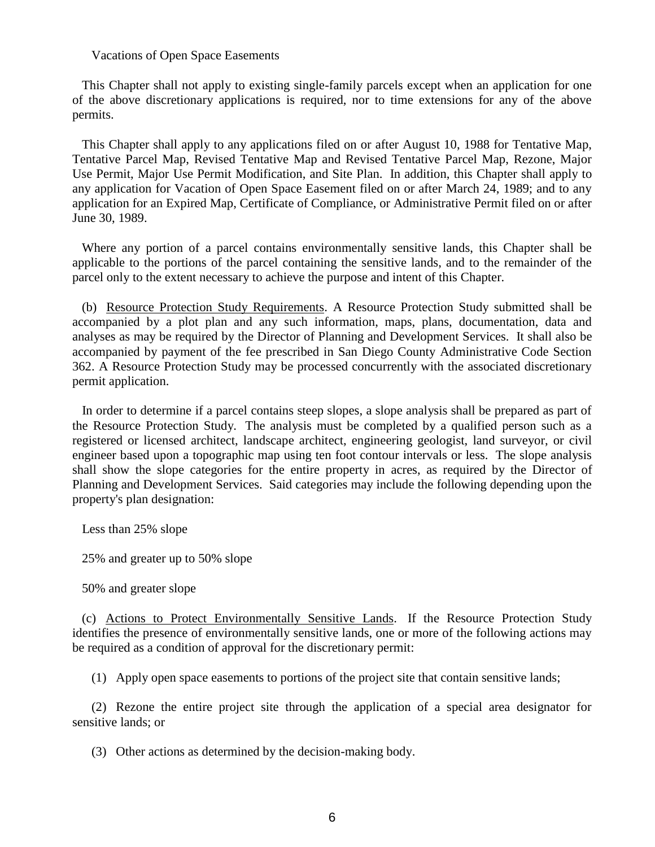#### Vacations of Open Space Easements

 This Chapter shall not apply to existing single-family parcels except when an application for one of the above discretionary applications is required, nor to time extensions for any of the above permits.

 This Chapter shall apply to any applications filed on or after August 10, 1988 for Tentative Map, Tentative Parcel Map, Revised Tentative Map and Revised Tentative Parcel Map, Rezone, Major Use Permit, Major Use Permit Modification, and Site Plan. In addition, this Chapter shall apply to any application for Vacation of Open Space Easement filed on or after March 24, 1989; and to any application for an Expired Map, Certificate of Compliance, or Administrative Permit filed on or after June 30, 1989.

 Where any portion of a parcel contains environmentally sensitive lands, this Chapter shall be applicable to the portions of the parcel containing the sensitive lands, and to the remainder of the parcel only to the extent necessary to achieve the purpose and intent of this Chapter.

 (b) Resource Protection Study Requirements. A Resource Protection Study submitted shall be accompanied by a plot plan and any such information, maps, plans, documentation, data and analyses as may be required by the Director of Planning and Development Services. It shall also be accompanied by payment of the fee prescribed in San Diego County Administrative Code Section 362. A Resource Protection Study may be processed concurrently with the associated discretionary permit application.

 In order to determine if a parcel contains steep slopes, a slope analysis shall be prepared as part of the Resource Protection Study. The analysis must be completed by a qualified person such as a registered or licensed architect, landscape architect, engineering geologist, land surveyor, or civil engineer based upon a topographic map using ten foot contour intervals or less. The slope analysis shall show the slope categories for the entire property in acres, as required by the Director of Planning and Development Services. Said categories may include the following depending upon the property's plan designation:

Less than 25% slope

25% and greater up to 50% slope

50% and greater slope

 (c) Actions to Protect Environmentally Sensitive Lands. If the Resource Protection Study identifies the presence of environmentally sensitive lands, one or more of the following actions may be required as a condition of approval for the discretionary permit:

(1) Apply open space easements to portions of the project site that contain sensitive lands;

 (2) Rezone the entire project site through the application of a special area designator for sensitive lands; or

(3) Other actions as determined by the decision-making body.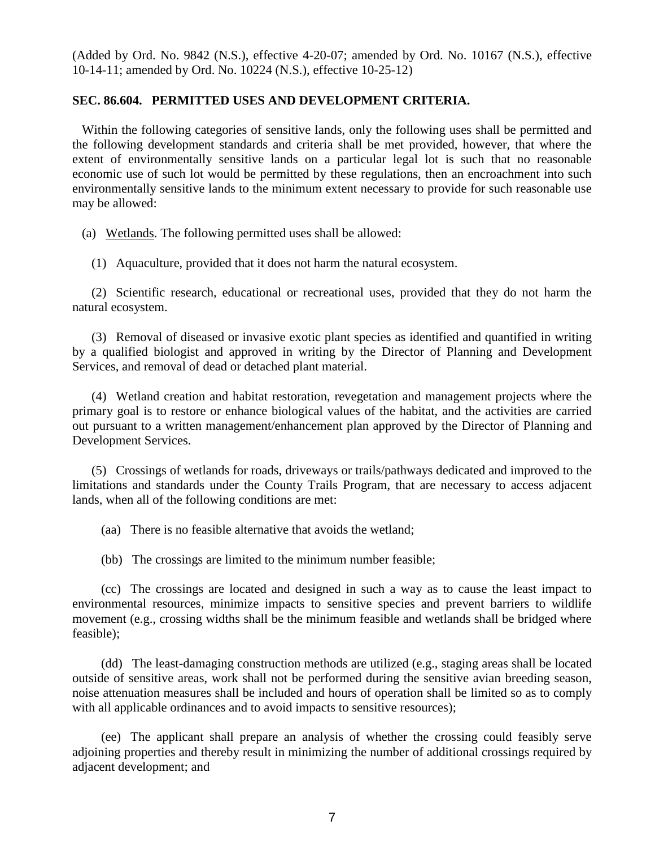(Added by Ord. No. 9842 (N.S.), effective 4-20-07; amended by Ord. No. 10167 (N.S.), effective 10-14-11; amended by Ord. No. 10224 (N.S.), effective 10-25-12)

### **SEC. 86.604. PERMITTED USES AND DEVELOPMENT CRITERIA.**

 Within the following categories of sensitive lands, only the following uses shall be permitted and the following development standards and criteria shall be met provided, however, that where the extent of environmentally sensitive lands on a particular legal lot is such that no reasonable economic use of such lot would be permitted by these regulations, then an encroachment into such environmentally sensitive lands to the minimum extent necessary to provide for such reasonable use may be allowed:

(a) Wetlands. The following permitted uses shall be allowed:

(1) Aquaculture, provided that it does not harm the natural ecosystem.

 (2) Scientific research, educational or recreational uses, provided that they do not harm the natural ecosystem.

 (3) Removal of diseased or invasive exotic plant species as identified and quantified in writing by a qualified biologist and approved in writing by the Director of Planning and Development Services, and removal of dead or detached plant material.

 (4) Wetland creation and habitat restoration, revegetation and management projects where the primary goal is to restore or enhance biological values of the habitat, and the activities are carried out pursuant to a written management/enhancement plan approved by the Director of Planning and Development Services.

 (5) Crossings of wetlands for roads, driveways or trails/pathways dedicated and improved to the limitations and standards under the County Trails Program, that are necessary to access adjacent lands, when all of the following conditions are met:

(aa) There is no feasible alternative that avoids the wetland;

(bb) The crossings are limited to the minimum number feasible;

 (cc) The crossings are located and designed in such a way as to cause the least impact to environmental resources, minimize impacts to sensitive species and prevent barriers to wildlife movement (e.g., crossing widths shall be the minimum feasible and wetlands shall be bridged where feasible);

 (dd) The least-damaging construction methods are utilized (e.g., staging areas shall be located outside of sensitive areas, work shall not be performed during the sensitive avian breeding season, noise attenuation measures shall be included and hours of operation shall be limited so as to comply with all applicable ordinances and to avoid impacts to sensitive resources);

 (ee) The applicant shall prepare an analysis of whether the crossing could feasibly serve adjoining properties and thereby result in minimizing the number of additional crossings required by adjacent development; and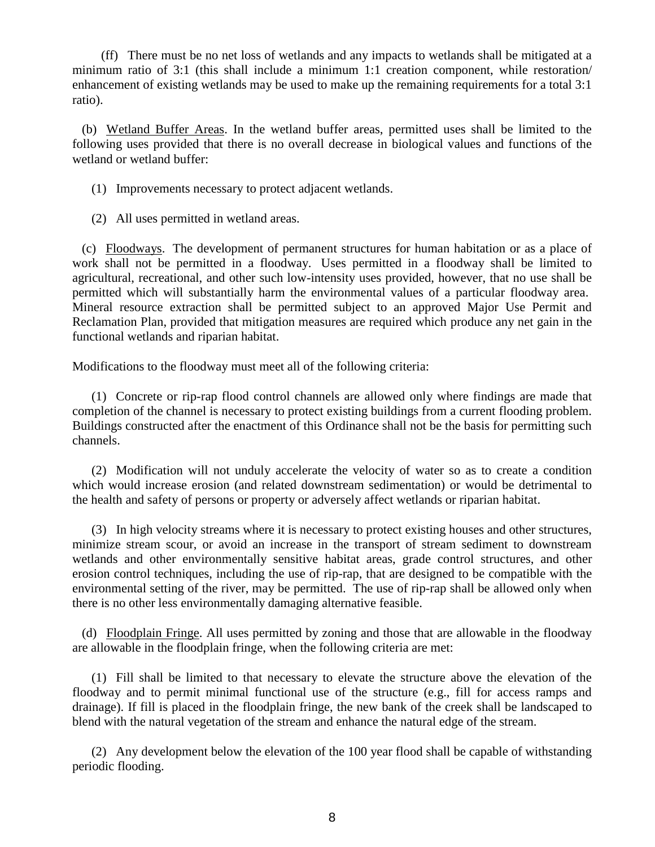(ff) There must be no net loss of wetlands and any impacts to wetlands shall be mitigated at a minimum ratio of 3:1 (this shall include a minimum 1:1 creation component, while restoration/ enhancement of existing wetlands may be used to make up the remaining requirements for a total 3:1 ratio).

 (b) Wetland Buffer Areas. In the wetland buffer areas, permitted uses shall be limited to the following uses provided that there is no overall decrease in biological values and functions of the wetland or wetland buffer:

(1) Improvements necessary to protect adjacent wetlands.

(2) All uses permitted in wetland areas.

 (c) Floodways. The development of permanent structures for human habitation or as a place of work shall not be permitted in a floodway. Uses permitted in a floodway shall be limited to agricultural, recreational, and other such low-intensity uses provided, however, that no use shall be permitted which will substantially harm the environmental values of a particular floodway area. Mineral resource extraction shall be permitted subject to an approved Major Use Permit and Reclamation Plan, provided that mitigation measures are required which produce any net gain in the functional wetlands and riparian habitat.

Modifications to the floodway must meet all of the following criteria:

 (1) Concrete or rip-rap flood control channels are allowed only where findings are made that completion of the channel is necessary to protect existing buildings from a current flooding problem. Buildings constructed after the enactment of this Ordinance shall not be the basis for permitting such channels.

 (2) Modification will not unduly accelerate the velocity of water so as to create a condition which would increase erosion (and related downstream sedimentation) or would be detrimental to the health and safety of persons or property or adversely affect wetlands or riparian habitat.

 (3) In high velocity streams where it is necessary to protect existing houses and other structures, minimize stream scour, or avoid an increase in the transport of stream sediment to downstream wetlands and other environmentally sensitive habitat areas, grade control structures, and other erosion control techniques, including the use of rip-rap, that are designed to be compatible with the environmental setting of the river, may be permitted. The use of rip-rap shall be allowed only when there is no other less environmentally damaging alternative feasible.

 (d) Floodplain Fringe. All uses permitted by zoning and those that are allowable in the floodway are allowable in the floodplain fringe, when the following criteria are met:

 (1) Fill shall be limited to that necessary to elevate the structure above the elevation of the floodway and to permit minimal functional use of the structure (e.g., fill for access ramps and drainage). If fill is placed in the floodplain fringe, the new bank of the creek shall be landscaped to blend with the natural vegetation of the stream and enhance the natural edge of the stream.

 (2) Any development below the elevation of the 100 year flood shall be capable of withstanding periodic flooding.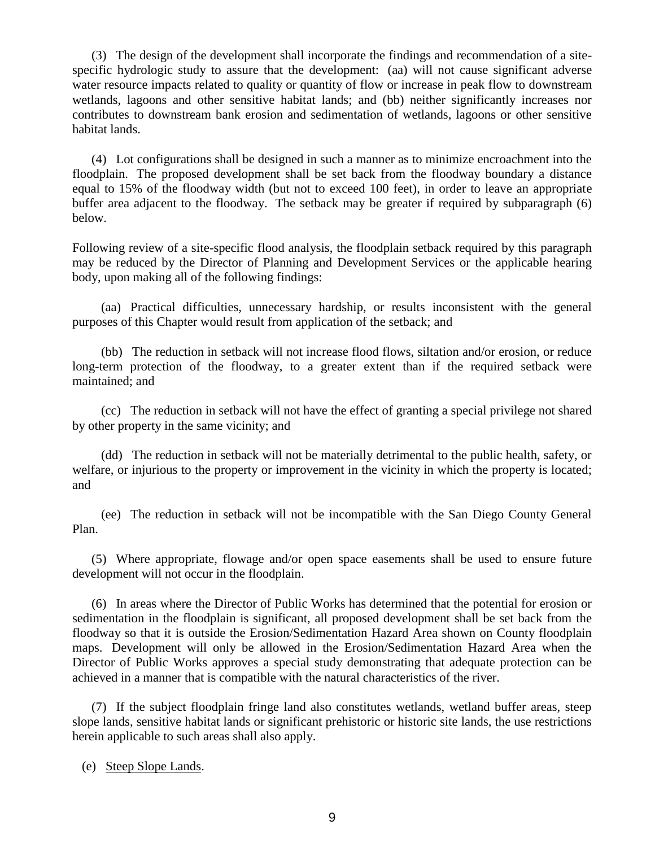(3) The design of the development shall incorporate the findings and recommendation of a sitespecific hydrologic study to assure that the development: (aa) will not cause significant adverse water resource impacts related to quality or quantity of flow or increase in peak flow to downstream wetlands, lagoons and other sensitive habitat lands; and (bb) neither significantly increases nor contributes to downstream bank erosion and sedimentation of wetlands, lagoons or other sensitive habitat lands.

 (4) Lot configurations shall be designed in such a manner as to minimize encroachment into the floodplain. The proposed development shall be set back from the floodway boundary a distance equal to 15% of the floodway width (but not to exceed 100 feet), in order to leave an appropriate buffer area adjacent to the floodway. The setback may be greater if required by subparagraph (6) below.

Following review of a site-specific flood analysis, the floodplain setback required by this paragraph may be reduced by the Director of Planning and Development Services or the applicable hearing body, upon making all of the following findings:

 (aa) Practical difficulties, unnecessary hardship, or results inconsistent with the general purposes of this Chapter would result from application of the setback; and

 (bb) The reduction in setback will not increase flood flows, siltation and/or erosion, or reduce long-term protection of the floodway, to a greater extent than if the required setback were maintained; and

 (cc) The reduction in setback will not have the effect of granting a special privilege not shared by other property in the same vicinity; and

 (dd) The reduction in setback will not be materially detrimental to the public health, safety, or welfare, or injurious to the property or improvement in the vicinity in which the property is located; and

 (ee) The reduction in setback will not be incompatible with the San Diego County General Plan.

 (5) Where appropriate, flowage and/or open space easements shall be used to ensure future development will not occur in the floodplain.

 (6) In areas where the Director of Public Works has determined that the potential for erosion or sedimentation in the floodplain is significant, all proposed development shall be set back from the floodway so that it is outside the Erosion/Sedimentation Hazard Area shown on County floodplain maps. Development will only be allowed in the Erosion/Sedimentation Hazard Area when the Director of Public Works approves a special study demonstrating that adequate protection can be achieved in a manner that is compatible with the natural characteristics of the river.

 (7) If the subject floodplain fringe land also constitutes wetlands, wetland buffer areas, steep slope lands, sensitive habitat lands or significant prehistoric or historic site lands, the use restrictions herein applicable to such areas shall also apply.

(e) Steep Slope Lands.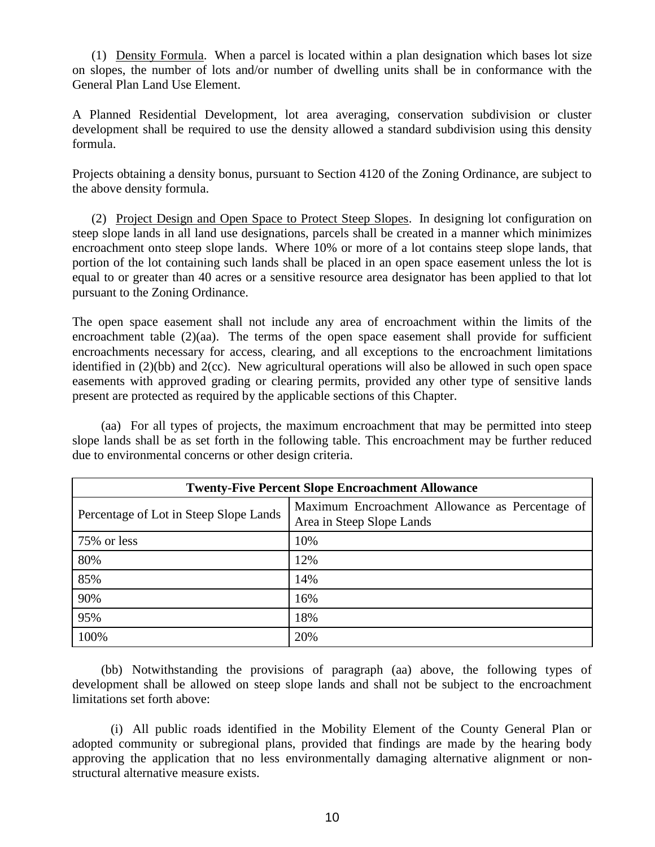(1) Density Formula. When a parcel is located within a plan designation which bases lot size on slopes, the number of lots and/or number of dwelling units shall be in conformance with the General Plan Land Use Element.

A Planned Residential Development, lot area averaging, conservation subdivision or cluster development shall be required to use the density allowed a standard subdivision using this density formula.

Projects obtaining a density bonus, pursuant to Section 4120 of the Zoning Ordinance, are subject to the above density formula.

 (2) Project Design and Open Space to Protect Steep Slopes. In designing lot configuration on steep slope lands in all land use designations, parcels shall be created in a manner which minimizes encroachment onto steep slope lands. Where 10% or more of a lot contains steep slope lands, that portion of the lot containing such lands shall be placed in an open space easement unless the lot is equal to or greater than 40 acres or a sensitive resource area designator has been applied to that lot pursuant to the Zoning Ordinance.

The open space easement shall not include any area of encroachment within the limits of the encroachment table  $(2)(aa)$ . The terms of the open space easement shall provide for sufficient encroachments necessary for access, clearing, and all exceptions to the encroachment limitations identified in (2)(bb) and 2(cc). New agricultural operations will also be allowed in such open space easements with approved grading or clearing permits, provided any other type of sensitive lands present are protected as required by the applicable sections of this Chapter.

 (aa) For all types of projects, the maximum encroachment that may be permitted into steep slope lands shall be as set forth in the following table. This encroachment may be further reduced due to environmental concerns or other design criteria.

| <b>Twenty-Five Percent Slope Encroachment Allowance</b> |                                                                              |
|---------------------------------------------------------|------------------------------------------------------------------------------|
| Percentage of Lot in Steep Slope Lands                  | Maximum Encroachment Allowance as Percentage of<br>Area in Steep Slope Lands |
| 75% or less                                             | 10%                                                                          |
| 80%                                                     | 12%                                                                          |
| 85%                                                     | 14%                                                                          |
| 90%                                                     | 16%                                                                          |
| 95%                                                     | 18%                                                                          |
| 100%                                                    | 20%                                                                          |

 (bb) Notwithstanding the provisions of paragraph (aa) above, the following types of development shall be allowed on steep slope lands and shall not be subject to the encroachment limitations set forth above:

 (i) All public roads identified in the Mobility Element of the County General Plan or adopted community or subregional plans, provided that findings are made by the hearing body approving the application that no less environmentally damaging alternative alignment or nonstructural alternative measure exists.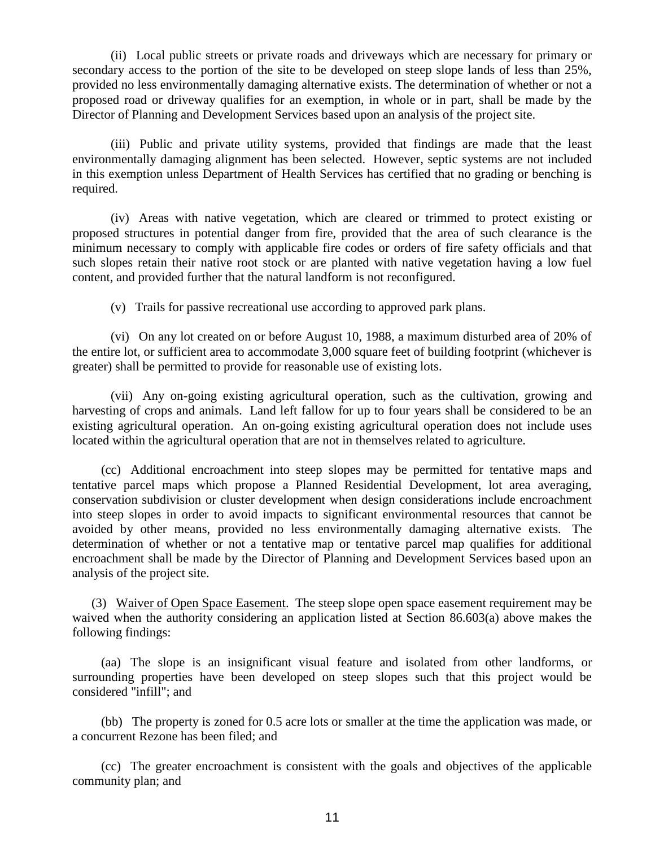(ii) Local public streets or private roads and driveways which are necessary for primary or secondary access to the portion of the site to be developed on steep slope lands of less than 25%, provided no less environmentally damaging alternative exists. The determination of whether or not a proposed road or driveway qualifies for an exemption, in whole or in part, shall be made by the Director of Planning and Development Services based upon an analysis of the project site.

 (iii) Public and private utility systems, provided that findings are made that the least environmentally damaging alignment has been selected. However, septic systems are not included in this exemption unless Department of Health Services has certified that no grading or benching is required.

 (iv) Areas with native vegetation, which are cleared or trimmed to protect existing or proposed structures in potential danger from fire, provided that the area of such clearance is the minimum necessary to comply with applicable fire codes or orders of fire safety officials and that such slopes retain their native root stock or are planted with native vegetation having a low fuel content, and provided further that the natural landform is not reconfigured.

(v) Trails for passive recreational use according to approved park plans.

 (vi) On any lot created on or before August 10, 1988, a maximum disturbed area of 20% of the entire lot, or sufficient area to accommodate 3,000 square feet of building footprint (whichever is greater) shall be permitted to provide for reasonable use of existing lots.

 (vii) Any on-going existing agricultural operation, such as the cultivation, growing and harvesting of crops and animals. Land left fallow for up to four years shall be considered to be an existing agricultural operation. An on-going existing agricultural operation does not include uses located within the agricultural operation that are not in themselves related to agriculture.

 (cc) Additional encroachment into steep slopes may be permitted for tentative maps and tentative parcel maps which propose a Planned Residential Development, lot area averaging, conservation subdivision or cluster development when design considerations include encroachment into steep slopes in order to avoid impacts to significant environmental resources that cannot be avoided by other means, provided no less environmentally damaging alternative exists. The determination of whether or not a tentative map or tentative parcel map qualifies for additional encroachment shall be made by the Director of Planning and Development Services based upon an analysis of the project site.

 (3) Waiver of Open Space Easement. The steep slope open space easement requirement may be waived when the authority considering an application listed at Section 86.603(a) above makes the following findings:

 (aa) The slope is an insignificant visual feature and isolated from other landforms, or surrounding properties have been developed on steep slopes such that this project would be considered "infill"; and

 (bb) The property is zoned for 0.5 acre lots or smaller at the time the application was made, or a concurrent Rezone has been filed; and

 (cc) The greater encroachment is consistent with the goals and objectives of the applicable community plan; and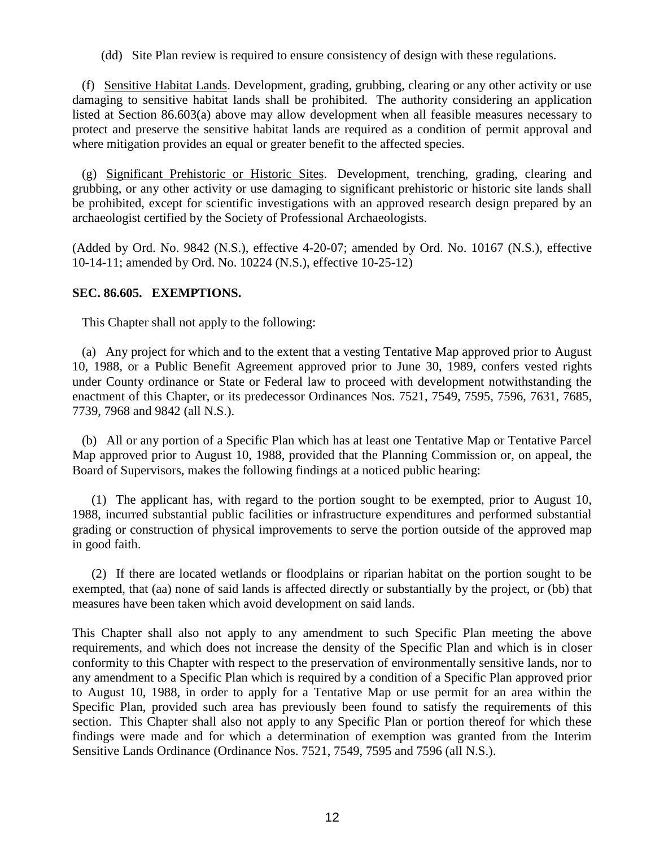(dd) Site Plan review is required to ensure consistency of design with these regulations.

 (f) Sensitive Habitat Lands. Development, grading, grubbing, clearing or any other activity or use damaging to sensitive habitat lands shall be prohibited. The authority considering an application listed at Section 86.603(a) above may allow development when all feasible measures necessary to protect and preserve the sensitive habitat lands are required as a condition of permit approval and where mitigation provides an equal or greater benefit to the affected species.

 (g) Significant Prehistoric or Historic Sites. Development, trenching, grading, clearing and grubbing, or any other activity or use damaging to significant prehistoric or historic site lands shall be prohibited, except for scientific investigations with an approved research design prepared by an archaeologist certified by the Society of Professional Archaeologists.

(Added by Ord. No. 9842 (N.S.), effective 4-20-07; amended by Ord. No. 10167 (N.S.), effective 10-14-11; amended by Ord. No. 10224 (N.S.), effective 10-25-12)

### **SEC. 86.605. EXEMPTIONS.**

This Chapter shall not apply to the following:

 (a) Any project for which and to the extent that a vesting Tentative Map approved prior to August 10, 1988, or a Public Benefit Agreement approved prior to June 30, 1989, confers vested rights under County ordinance or State or Federal law to proceed with development notwithstanding the enactment of this Chapter, or its predecessor Ordinances Nos. 7521, 7549, 7595, 7596, 7631, 7685, 7739, 7968 and 9842 (all N.S.).

 (b) All or any portion of a Specific Plan which has at least one Tentative Map or Tentative Parcel Map approved prior to August 10, 1988, provided that the Planning Commission or, on appeal, the Board of Supervisors, makes the following findings at a noticed public hearing:

 (1) The applicant has, with regard to the portion sought to be exempted, prior to August 10, 1988, incurred substantial public facilities or infrastructure expenditures and performed substantial grading or construction of physical improvements to serve the portion outside of the approved map in good faith.

 (2) If there are located wetlands or floodplains or riparian habitat on the portion sought to be exempted, that (aa) none of said lands is affected directly or substantially by the project, or (bb) that measures have been taken which avoid development on said lands.

This Chapter shall also not apply to any amendment to such Specific Plan meeting the above requirements, and which does not increase the density of the Specific Plan and which is in closer conformity to this Chapter with respect to the preservation of environmentally sensitive lands, nor to any amendment to a Specific Plan which is required by a condition of a Specific Plan approved prior to August 10, 1988, in order to apply for a Tentative Map or use permit for an area within the Specific Plan, provided such area has previously been found to satisfy the requirements of this section. This Chapter shall also not apply to any Specific Plan or portion thereof for which these findings were made and for which a determination of exemption was granted from the Interim Sensitive Lands Ordinance (Ordinance Nos. 7521, 7549, 7595 and 7596 (all N.S.).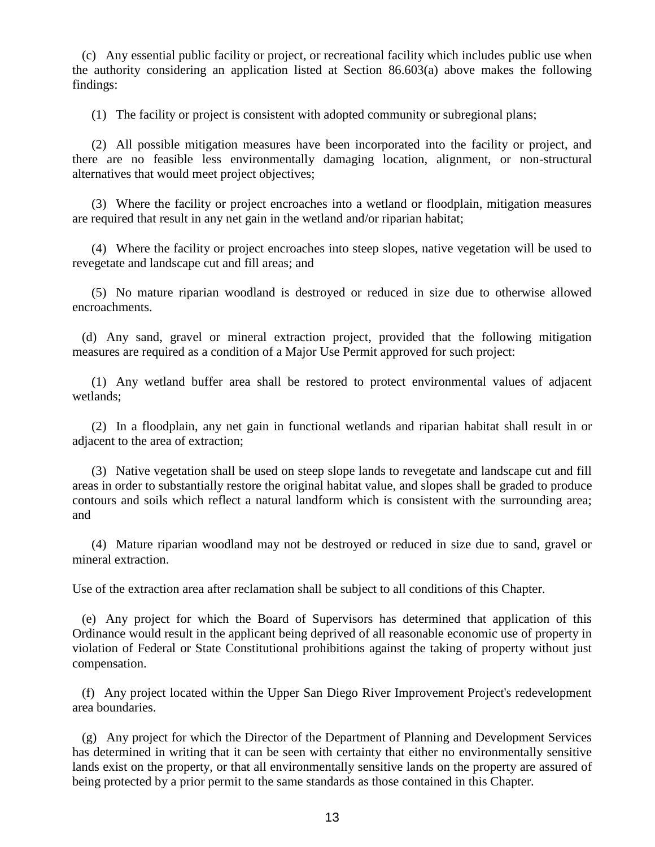(c) Any essential public facility or project, or recreational facility which includes public use when the authority considering an application listed at Section 86.603(a) above makes the following findings:

(1) The facility or project is consistent with adopted community or subregional plans;

 (2) All possible mitigation measures have been incorporated into the facility or project, and there are no feasible less environmentally damaging location, alignment, or non-structural alternatives that would meet project objectives;

 (3) Where the facility or project encroaches into a wetland or floodplain, mitigation measures are required that result in any net gain in the wetland and/or riparian habitat;

 (4) Where the facility or project encroaches into steep slopes, native vegetation will be used to revegetate and landscape cut and fill areas; and

 (5) No mature riparian woodland is destroyed or reduced in size due to otherwise allowed encroachments.

 (d) Any sand, gravel or mineral extraction project, provided that the following mitigation measures are required as a condition of a Major Use Permit approved for such project:

 (1) Any wetland buffer area shall be restored to protect environmental values of adjacent wetlands;

 (2) In a floodplain, any net gain in functional wetlands and riparian habitat shall result in or adjacent to the area of extraction;

 (3) Native vegetation shall be used on steep slope lands to revegetate and landscape cut and fill areas in order to substantially restore the original habitat value, and slopes shall be graded to produce contours and soils which reflect a natural landform which is consistent with the surrounding area; and

 (4) Mature riparian woodland may not be destroyed or reduced in size due to sand, gravel or mineral extraction.

Use of the extraction area after reclamation shall be subject to all conditions of this Chapter.

 (e) Any project for which the Board of Supervisors has determined that application of this Ordinance would result in the applicant being deprived of all reasonable economic use of property in violation of Federal or State Constitutional prohibitions against the taking of property without just compensation.

 (f) Any project located within the Upper San Diego River Improvement Project's redevelopment area boundaries.

 (g) Any project for which the Director of the Department of Planning and Development Services has determined in writing that it can be seen with certainty that either no environmentally sensitive lands exist on the property, or that all environmentally sensitive lands on the property are assured of being protected by a prior permit to the same standards as those contained in this Chapter.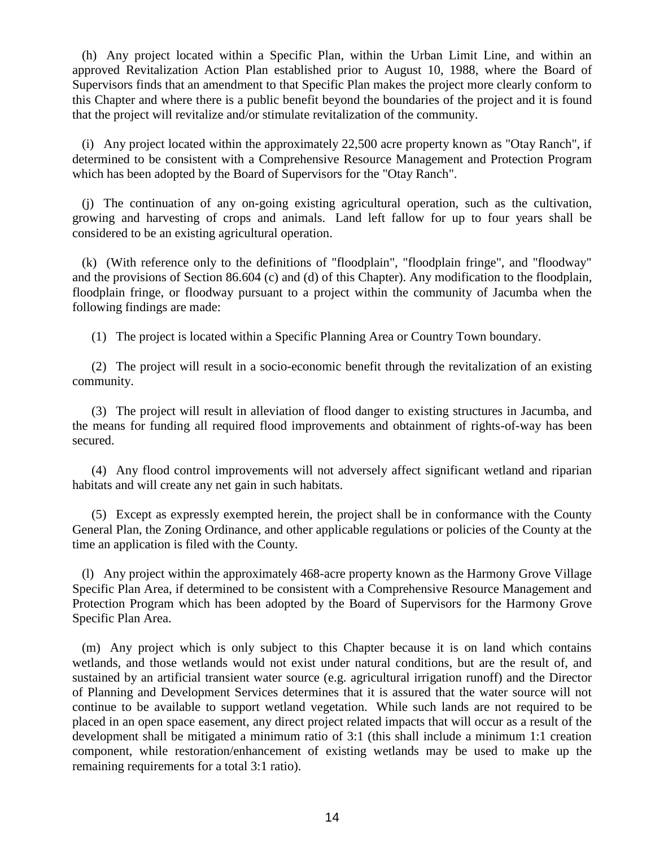(h) Any project located within a Specific Plan, within the Urban Limit Line, and within an approved Revitalization Action Plan established prior to August 10, 1988, where the Board of Supervisors finds that an amendment to that Specific Plan makes the project more clearly conform to this Chapter and where there is a public benefit beyond the boundaries of the project and it is found that the project will revitalize and/or stimulate revitalization of the community.

 (i) Any project located within the approximately 22,500 acre property known as "Otay Ranch", if determined to be consistent with a Comprehensive Resource Management and Protection Program which has been adopted by the Board of Supervisors for the "Otay Ranch".

 (j) The continuation of any on-going existing agricultural operation, such as the cultivation, growing and harvesting of crops and animals. Land left fallow for up to four years shall be considered to be an existing agricultural operation.

 (k) (With reference only to the definitions of "floodplain", "floodplain fringe", and "floodway" and the provisions of Section 86.604 (c) and (d) of this Chapter). Any modification to the floodplain, floodplain fringe, or floodway pursuant to a project within the community of Jacumba when the following findings are made:

(1) The project is located within a Specific Planning Area or Country Town boundary.

 (2) The project will result in a socio-economic benefit through the revitalization of an existing community.

 (3) The project will result in alleviation of flood danger to existing structures in Jacumba, and the means for funding all required flood improvements and obtainment of rights-of-way has been secured.

 (4) Any flood control improvements will not adversely affect significant wetland and riparian habitats and will create any net gain in such habitats.

 (5) Except as expressly exempted herein, the project shall be in conformance with the County General Plan, the Zoning Ordinance, and other applicable regulations or policies of the County at the time an application is filed with the County.

 (l) Any project within the approximately 468-acre property known as the Harmony Grove Village Specific Plan Area, if determined to be consistent with a Comprehensive Resource Management and Protection Program which has been adopted by the Board of Supervisors for the Harmony Grove Specific Plan Area.

 (m) Any project which is only subject to this Chapter because it is on land which contains wetlands, and those wetlands would not exist under natural conditions, but are the result of, and sustained by an artificial transient water source (e.g. agricultural irrigation runoff) and the Director of Planning and Development Services determines that it is assured that the water source will not continue to be available to support wetland vegetation. While such lands are not required to be placed in an open space easement, any direct project related impacts that will occur as a result of the development shall be mitigated a minimum ratio of 3:1 (this shall include a minimum 1:1 creation component, while restoration/enhancement of existing wetlands may be used to make up the remaining requirements for a total 3:1 ratio).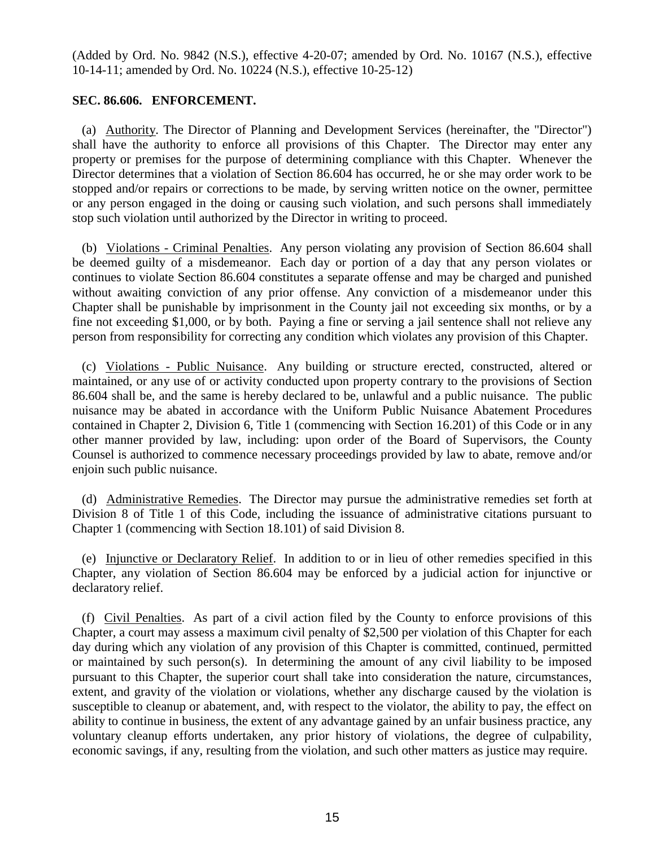(Added by Ord. No. 9842 (N.S.), effective 4-20-07; amended by Ord. No. 10167 (N.S.), effective 10-14-11; amended by Ord. No. 10224 (N.S.), effective 10-25-12)

## **SEC. 86.606. ENFORCEMENT.**

 (a) Authority. The Director of Planning and Development Services (hereinafter, the "Director") shall have the authority to enforce all provisions of this Chapter. The Director may enter any property or premises for the purpose of determining compliance with this Chapter. Whenever the Director determines that a violation of Section 86.604 has occurred, he or she may order work to be stopped and/or repairs or corrections to be made, by serving written notice on the owner, permittee or any person engaged in the doing or causing such violation, and such persons shall immediately stop such violation until authorized by the Director in writing to proceed.

 (b) Violations - Criminal Penalties. Any person violating any provision of Section 86.604 shall be deemed guilty of a misdemeanor. Each day or portion of a day that any person violates or continues to violate Section 86.604 constitutes a separate offense and may be charged and punished without awaiting conviction of any prior offense. Any conviction of a misdemeanor under this Chapter shall be punishable by imprisonment in the County jail not exceeding six months, or by a fine not exceeding \$1,000, or by both. Paying a fine or serving a jail sentence shall not relieve any person from responsibility for correcting any condition which violates any provision of this Chapter.

 (c) Violations - Public Nuisance. Any building or structure erected, constructed, altered or maintained, or any use of or activity conducted upon property contrary to the provisions of Section 86.604 shall be, and the same is hereby declared to be, unlawful and a public nuisance. The public nuisance may be abated in accordance with the Uniform Public Nuisance Abatement Procedures contained in [Chapter 2, Division 6, Title 1](http://library.amlegal.com/nxt/gateway.dll?f=jumplink$jumplink_x=Advanced$jumplink_vpc=first$jumplink_xsl=querylink.xsl$jumplink_sel=title;path;content-type;home-title;item-bookmark$jumplink_d=california(sandregs)$jumplink_q=%5bfield%20folio-destination-name:) (commencing with Section 16.201) of this Code or in any other manner provided by law, including: upon order of the Board of Supervisors, the County Counsel is authorized to commence necessary proceedings provided by law to abate, remove and/or enjoin such public nuisance.

 (d) Administrative Remedies. The Director may pursue the administrative remedies set forth at Division 8 of Title 1 of this Code, including the issuance of administrative citations pursuant to Chapter 1 (commencing with Section 18.101) of said Division 8.

 (e) Injunctive or Declaratory Relief. In addition to or in lieu of other remedies specified in this Chapter, any violation of Section 86.604 may be enforced by a judicial action for injunctive or declaratory relief.

 (f) Civil Penalties. As part of a civil action filed by the County to enforce provisions of this Chapter, a court may assess a maximum civil penalty of \$2,500 per violation of this Chapter for each day during which any violation of any provision of this Chapter is committed, continued, permitted or maintained by such person(s). In determining the amount of any civil liability to be imposed pursuant to this Chapter, the superior court shall take into consideration the nature, circumstances, extent, and gravity of the violation or violations, whether any discharge caused by the violation is susceptible to cleanup or abatement, and, with respect to the violator, the ability to pay, the effect on ability to continue in business, the extent of any advantage gained by an unfair business practice, any voluntary cleanup efforts undertaken, any prior history of violations, the degree of culpability, economic savings, if any, resulting from the violation, and such other matters as justice may require.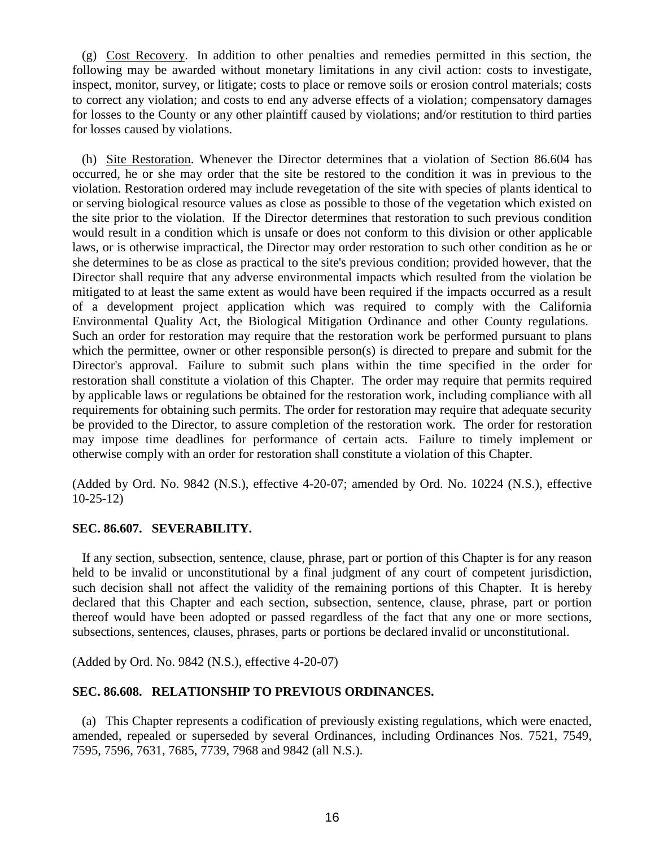(g) Cost Recovery. In addition to other penalties and remedies permitted in this section, the following may be awarded without monetary limitations in any civil action: costs to investigate, inspect, monitor, survey, or litigate; costs to place or remove soils or erosion control materials; costs to correct any violation; and costs to end any adverse effects of a violation; compensatory damages for losses to the County or any other plaintiff caused by violations; and/or restitution to third parties for losses caused by violations.

 (h) Site Restoration. Whenever the Director determines that a violation of Section 86.604 has occurred, he or she may order that the site be restored to the condition it was in previous to the violation. Restoration ordered may include revegetation of the site with species of plants identical to or serving biological resource values as close as possible to those of the vegetation which existed on the site prior to the violation. If the Director determines that restoration to such previous condition would result in a condition which is unsafe or does not conform to this division or other applicable laws, or is otherwise impractical, the Director may order restoration to such other condition as he or she determines to be as close as practical to the site's previous condition; provided however, that the Director shall require that any adverse environmental impacts which resulted from the violation be mitigated to at least the same extent as would have been required if the impacts occurred as a result of a development project application which was required to comply with the California Environmental Quality Act, the Biological Mitigation Ordinance and other County regulations. Such an order for restoration may require that the restoration work be performed pursuant to plans which the permittee, owner or other responsible person(s) is directed to prepare and submit for the Director's approval. Failure to submit such plans within the time specified in the order for restoration shall constitute a violation of this Chapter. The order may require that permits required by applicable laws or regulations be obtained for the restoration work, including compliance with all requirements for obtaining such permits. The order for restoration may require that adequate security be provided to the Director, to assure completion of the restoration work. The order for restoration may impose time deadlines for performance of certain acts. Failure to timely implement or otherwise comply with an order for restoration shall constitute a violation of this Chapter.

(Added by Ord. No. 9842 (N.S.), effective 4-20-07; amended by Ord. No. 10224 (N.S.), effective 10-25-12)

#### **SEC. 86.607. SEVERABILITY.**

 If any section, subsection, sentence, clause, phrase, part or portion of this Chapter is for any reason held to be invalid or unconstitutional by a final judgment of any court of competent jurisdiction, such decision shall not affect the validity of the remaining portions of this Chapter. It is hereby declared that this Chapter and each section, subsection, sentence, clause, phrase, part or portion thereof would have been adopted or passed regardless of the fact that any one or more sections, subsections, sentences, clauses, phrases, parts or portions be declared invalid or unconstitutional.

(Added by Ord. No. 9842 (N.S.), effective 4-20-07)

### **SEC. 86.608. RELATIONSHIP TO PREVIOUS ORDINANCES.**

 (a) This Chapter represents a codification of previously existing regulations, which were enacted, amended, repealed or superseded by several Ordinances, including Ordinances Nos. 7521, 7549, 7595, 7596, 7631, 7685, 7739, 7968 and 9842 (all N.S.).